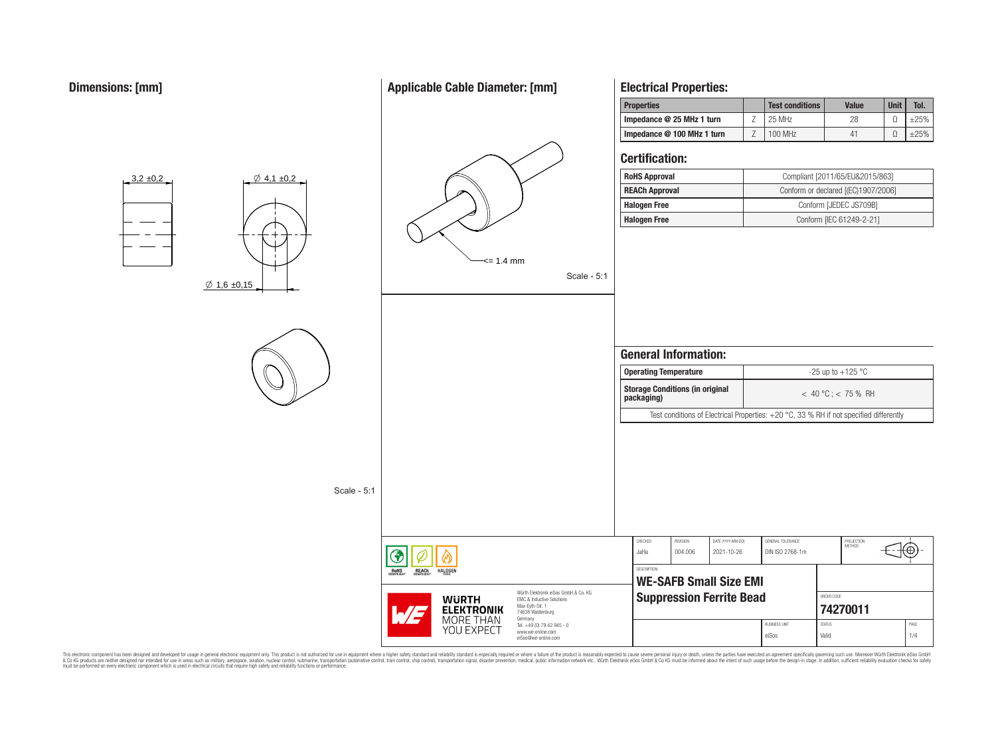# **Applicable Cable Diameter: [mm]**

## **Properties Test conditions Value Unit Tol. Impedance @ 25 MHz 1 turn** Z 25 MHz 28 Ω ±25% **Impedance @ 100 MHz 1 turn** Z 100 MHz 41 Ω ±25% **Certification: RoHS Approval** Compliant [2011/65/EU&2015/863]  $3,2 \pm 0,2$  $\emptyset$  4,1 ±0,2 **REACh Approval** Conform or declared [(EC)1907/2006] **Halogen Free** Conform [JEDEC JS709B] **Halogen Free** Conform [IEC 61249-2-21] <= 1.4 mm Scale - 5:1  $\emptyset$  1,6 ±0,15 **General Information: Operating Temperature discriming Temperature**  $-25 \text{ up to } +125 \text{ °C}$ **Storage Conditions (in original packaging)** < 40 °C ; < 75 % RH Test conditions of Electrical Properties: +20 °C, 33 % RH if not specified differently Scale - 5:1 CHECKED REVISION DATE (YYYY-MM-DD) GENERAL TOLERANCE PROJECTION<br>METHOD Έ JaHa 004.006 2021-10-26 DIN ISO 2768-1m **DESCRIPTION** REACh **HALOGEN WE-SAFB Small Size EMI** Würth Elektronik eiSos GmbH & Co. KG **Suppression Ferrite Bead WURTH** EMC & Inductive Solutions Max-Eyth-Str. 1 **[74270011](https://www.we-online.com/catalog/en/article/74270011) ELEKTRONIK** 74638 Waldenburg MORE THAN Germany BUSINESS UNIT STATUS STATUS PAGE Tel. +49 (0) 79 42 945 - 0 YOU EXPECT www.we-online.com eiSos Valid 1/4 eiSos@we-online.com

**Electrical Properties:**

This electronic component has been designed and developed for usage in general electronic equipment only. This product is not authorized for subserved requipment where a higher selection equipment where a higher selection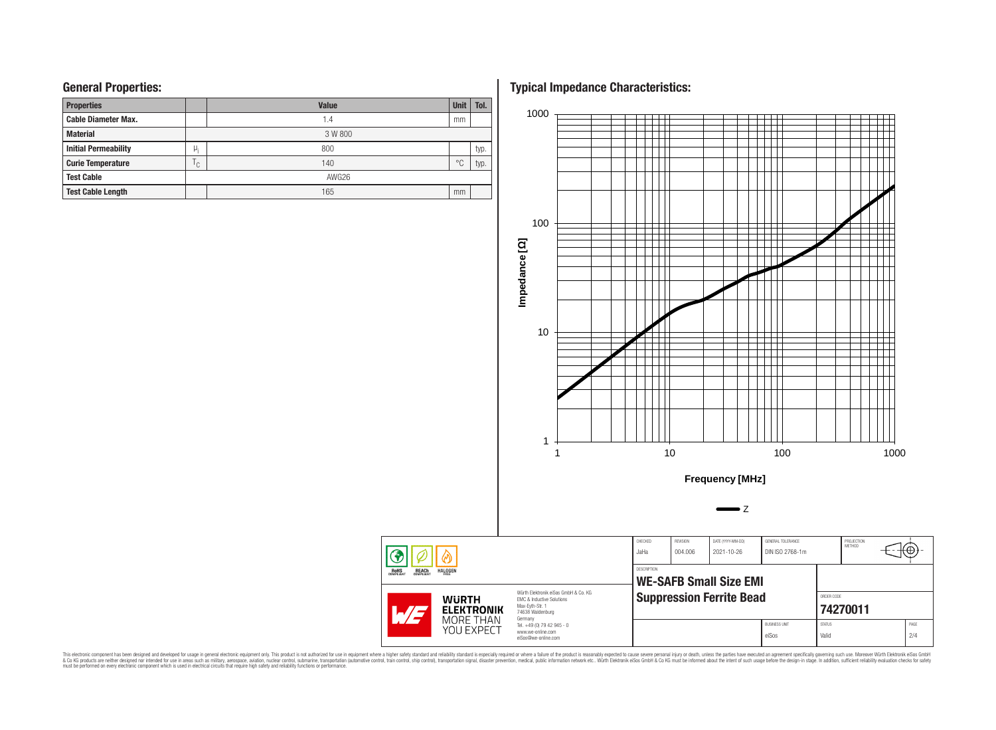# **General Properties:**

| <b>Properties</b>           |              | <b>Unit</b> | Tol.           |      |  |  |  |  |  |
|-----------------------------|--------------|-------------|----------------|------|--|--|--|--|--|
| <b>Cable Diameter Max.</b>  |              | 1.4         | mm             |      |  |  |  |  |  |
| <b>Material</b>             |              | 3 W 800     |                |      |  |  |  |  |  |
| <b>Initial Permeability</b> | μ,           | 800         |                | typ. |  |  |  |  |  |
| <b>Curie Temperature</b>    | $\cap$<br>ι. | 140         | $\circ$ $\cap$ | typ. |  |  |  |  |  |
| <b>Test Cable</b>           |              | AWG26       |                |      |  |  |  |  |  |
| <b>Test Cable Length</b>    |              | 165         | mm             |      |  |  |  |  |  |

**Typical Impedance Characteristics:**



This electronic component has been designed and developed for usage in general electronic equipment only. This product is not authorized for subserved requipment where a higher selection equipment where a higher selection

 $\circledast$ **ROHS**<br>COMPLIANT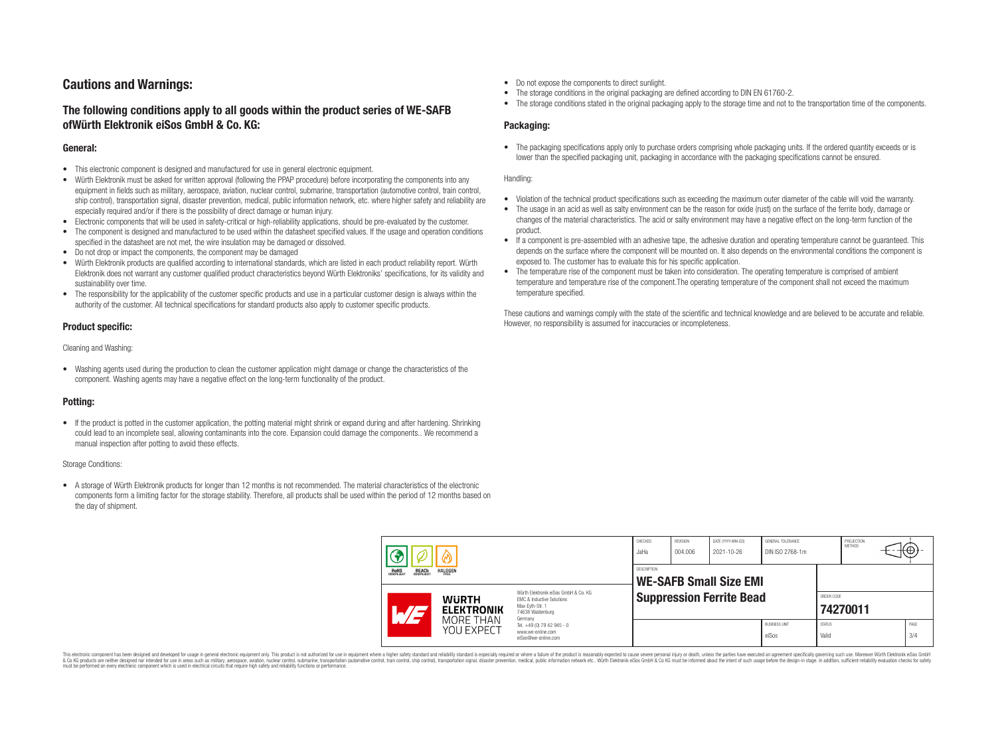# **Cautions and Warnings:**

# **The following conditions apply to all goods within the product series of WE-SAFB ofWürth Elektronik eiSos GmbH & Co. KG:**

#### **General:**

- This electronic component is designed and manufactured for use in general electronic equipment.
- Würth Elektronik must be asked for written approval (following the PPAP procedure) before incorporating the components into any equipment in fields such as military, aerospace, aviation, nuclear control, submarine, transportation (automotive control, train control, ship control), transportation signal, disaster prevention, medical, public information network, etc. where higher safety and reliability are especially required and/or if there is the possibility of direct damage or human injury.
- Electronic components that will be used in safety-critical or high-reliability applications, should be pre-evaluated by the customer.
- The component is designed and manufactured to be used within the datasheet specified values. If the usage and operation conditions specified in the datasheet are not met, the wire insulation may be damaged or dissolved.
- Do not drop or impact the components, the component may be damaged
- Würth Elektronik products are qualified according to international standards, which are listed in each product reliability report. Würth Elektronik does not warrant any customer qualified product characteristics beyond Würth Elektroniks' specifications, for its validity and sustainability over time.
- The responsibility for the applicability of the customer specific products and use in a particular customer design is always within the authority of the customer. All technical specifications for standard products also apply to customer specific products.

## **Product specific:**

Cleaning and Washing:

• Washing agents used during the production to clean the customer application might damage or change the characteristics of the component. Washing agents may have a negative effect on the long-term functionality of the product.

## **Potting:**

• If the product is potted in the customer application, the potting material might shrink or expand during and after hardening. Shrinking could lead to an incomplete seal, allowing contaminants into the core. Expansion could damage the components.. We recommend a manual inspection after potting to avoid these effects.

#### Storage Conditions:

• A storage of Würth Elektronik products for longer than 12 months is not recommended. The material characteristics of the electronic components form a limiting factor for the storage stability. Therefore, all products shall be used within the period of 12 months based on the day of shipment.

- Do not expose the components to direct sunlight.
- The storage conditions in the original packaging are defined according to DIN EN 61760-2.
- The storage conditions stated in the original packaging apply to the storage time and not to the transportation time of the components.

### **Packaging:**

• The packaging specifications apply only to purchase orders comprising whole packaging units. If the ordered quantity exceeds or is lower than the specified packaging unit, packaging in accordance with the packaging specifications cannot be ensured.

#### Handling:

- Violation of the technical product specifications such as exceeding the maximum outer diameter of the cable will void the warranty.
- The usage in an acid as well as salty environment can be the reason for oxide (rust) on the surface of the ferrite body, damage or changes of the material characteristics. The acid or salty environment may have a negative effect on the long-term function of the product.
- If a component is pre-assembled with an adhesive tape, the adhesive duration and operating temperature cannot be guaranteed. This depends on the surface where the component will be mounted on. It also depends on the environmental conditions the component is exposed to. The customer has to evaluate this for his specific application.
- The temperature rise of the component must be taken into consideration. The operating temperature is comprised of ambient temperature and temperature rise of the component.The operating temperature of the component shall not exceed the maximum temperature specified.

These cautions and warnings comply with the state of the scientific and technical knowledge and are believed to be accurate and reliable. However, no responsibility is assumed for inaccuracies or incompleteness.

| <b>REACH</b><br>COMPLIANT<br>ROHS<br>COMPLIANT<br><b>HALOGEN</b> |                                   | CHECKED<br>JaHa                                     | REVISION<br>004.006                                                                                                                                                                                      | DATE (YYYY-MM-DD)<br>2021-10-26 | GENERAL TOLERANCE<br>DIN ISO 2768-1m |                               | PROJECTION<br><b>METHOD</b> |                        | tΨ. |             |
|------------------------------------------------------------------|-----------------------------------|-----------------------------------------------------|----------------------------------------------------------------------------------------------------------------------------------------------------------------------------------------------------------|---------------------------------|--------------------------------------|-------------------------------|-----------------------------|------------------------|-----|-------------|
|                                                                  |                                   | <b>DESCRIPTION</b><br><b>WE-SAFB Small Size EMI</b> |                                                                                                                                                                                                          |                                 |                                      |                               |                             |                        |     |             |
|                                                                  | <b>WURTH</b><br><b>ELEKTRONIK</b> |                                                     | Würth Flektronik eiSos GmbH & Co. KG<br><b>EMC &amp; Inductive Solutions</b><br>Max-Eyth-Str. 1<br>74638 Waldenburg<br>Germany<br>Tel. +49 (0) 79 42 945 - 0<br>www.we-online.com<br>eiSos@we-online.com | <b>Suppression Ferrite Bead</b> |                                      |                               |                             | ORDER CODE<br>74270011 |     |             |
|                                                                  | MORE THAN<br>YOU EXPECT           |                                                     |                                                                                                                                                                                                          |                                 |                                      | <b>BUSINESS UNIT</b><br>eiSos | <b>STATUS</b><br>Valid      |                        |     | PAGE<br>3/4 |

This electronic component has been designed and developed for usage in general electronic equipment only. This product is not authorized for use in equipment where a higher safety standard and reliability standard si espec & Ook product a label and the membed of the seasuch as marked and as which such a membed and the such assume that income in the seasuch and the simulation and the such assume that include to the such a membed and the such